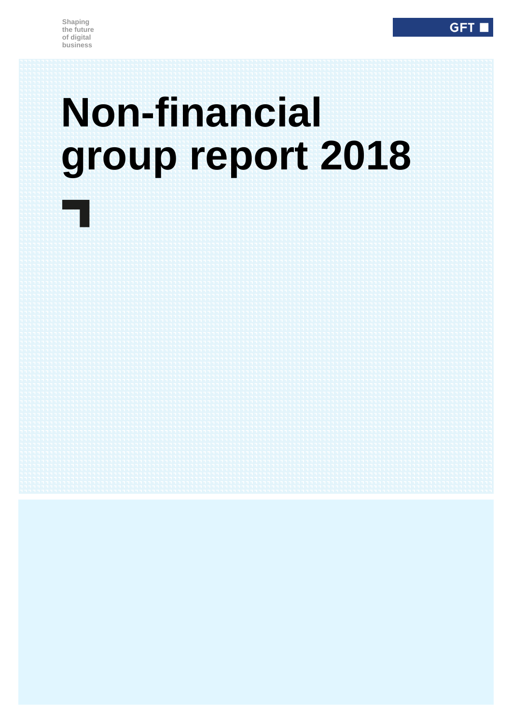# **Non-financial group report 2018**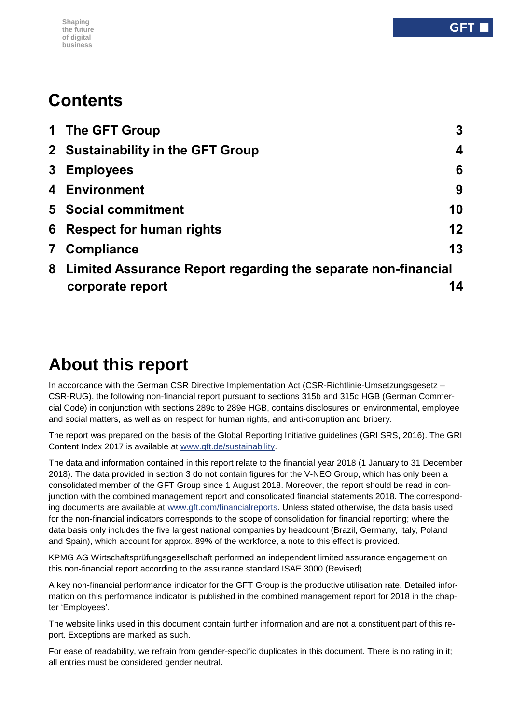#### **Shaping the future of digital business**

# **Contents**

|              | 1 The GFT Group                                                 | 3                |
|--------------|-----------------------------------------------------------------|------------------|
|              | 2 Sustainability in the GFT Group                               | $\boldsymbol{4}$ |
|              | 3 Employees                                                     | 6                |
|              | 4 Environment                                                   | 9                |
|              | <b>5</b> Social commitment                                      | 10               |
|              | <b>6</b> Respect for human rights                               | 12               |
| $\mathbf{7}$ | Compliance                                                      | 13               |
|              | 8 Limited Assurance Report regarding the separate non-financial |                  |
|              | corporate report                                                | 14               |

# **About this report**

In accordance with the German CSR Directive Implementation Act (CSR-Richtlinie-Umsetzungsgesetz – CSR-RUG), the following non-financial report pursuant to sections 315b and 315c HGB (German Commercial Code) in conjunction with sections 289c to 289e HGB, contains disclosures on environmental, employee and social matters, as well as on respect for human rights, and anti-corruption and bribery.

The report was prepared on the basis of the Global Reporting Initiative guidelines (GRI SRS, 2016). The GRI Content Index 2017 is available at [www.gft.de/sustainability.](http://www.gft.de/sustainability)

The data and information contained in this report relate to the financial year 2018 (1 January to 31 December 2018). The data provided in section 3 do not contain figures for the V-NEO Group, which has only been a consolidated member of the GFT Group since 1 August 2018. Moreover, the report should be read in conjunction with the combined management report and consolidated financial statements 2018. The corresponding documents are available at [www.gft.com/financialreports.](http://www.gft.com/financialreports) Unless stated otherwise, the data basis used for the non-financial indicators corresponds to the scope of consolidation for financial reporting; where the data basis only includes the five largest national companies by headcount (Brazil, Germany, Italy, Poland and Spain), which account for approx. 89% of the workforce, a note to this effect is provided.

KPMG AG Wirtschaftsprüfungsgesellschaft performed an independent limited assurance engagement on this non-financial report according to the assurance standard ISAE 3000 (Revised).

A key non-financial performance indicator for the GFT Group is the productive utilisation rate. Detailed information on this performance indicator is published in the combined management report for 2018 in the chapter 'Employees'.

The website links used in this document contain further information and are not a constituent part of this report. Exceptions are marked as such.

For ease of readability, we refrain from gender-specific duplicates in this document. There is no rating in it; all entries must be considered gender neutral.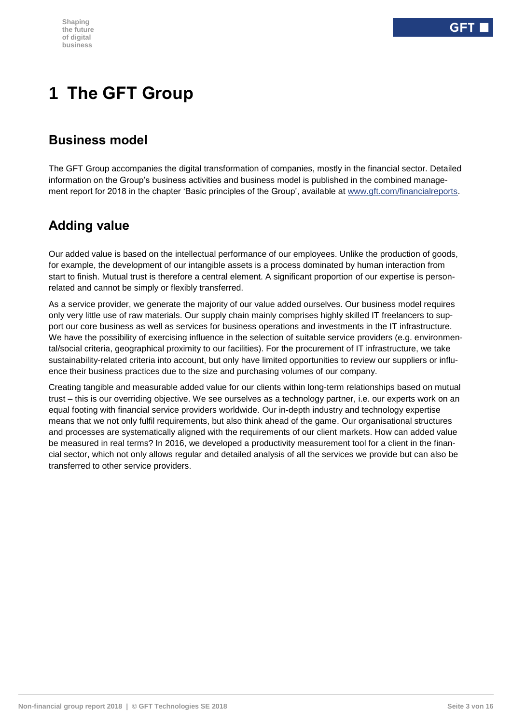# <span id="page-2-0"></span>**1 The GFT Group**

### **Business model**

The GFT Group accompanies the digital transformation of companies, mostly in the financial sector. Detailed information on the Group's business activities and business model is published in the combined management report for 2018 in the chapter 'Basic principles of the Group', available at [www.gft.com/financialreports.](http://www.gft.com/financialreports)

### **Adding value**

Our added value is based on the intellectual performance of our employees. Unlike the production of goods, for example, the development of our intangible assets is a process dominated by human interaction from start to finish. Mutual trust is therefore a central element. A significant proportion of our expertise is personrelated and cannot be simply or flexibly transferred.

As a service provider, we generate the majority of our value added ourselves. Our business model requires only very little use of raw materials. Our supply chain mainly comprises highly skilled IT freelancers to support our core business as well as services for business operations and investments in the IT infrastructure. We have the possibility of exercising influence in the selection of suitable service providers (e.g. environmental/social criteria, geographical proximity to our facilities). For the procurement of IT infrastructure, we take sustainability-related criteria into account, but only have limited opportunities to review our suppliers or influence their business practices due to the size and purchasing volumes of our company.

Creating tangible and measurable added value for our clients within long-term relationships based on mutual trust – this is our overriding objective. We see ourselves as a technology partner, i.e. our experts work on an equal footing with financial service providers worldwide. Our in-depth industry and technology expertise means that we not only fulfil requirements, but also think ahead of the game. Our organisational structures and processes are systematically aligned with the requirements of our client markets. How can added value be measured in real terms? In 2016, we developed a productivity measurement tool for a client in the financial sector, which not only allows regular and detailed analysis of all the services we provide but can also be transferred to other service providers.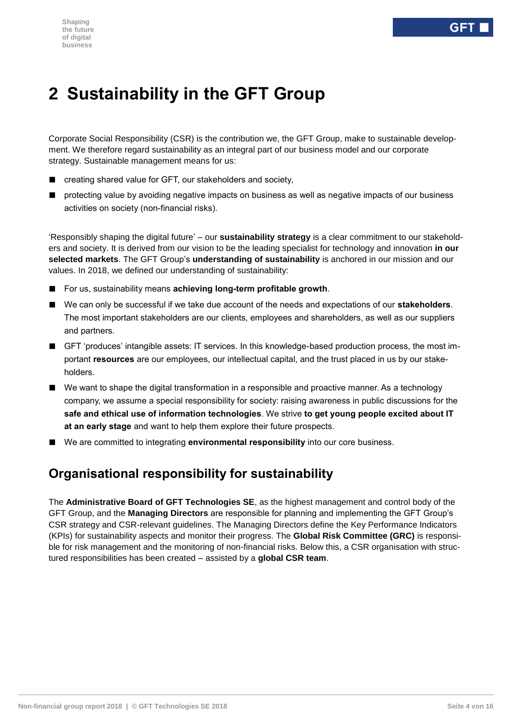# <span id="page-3-0"></span>**2 Sustainability in the GFT Group**

Corporate Social Responsibility (CSR) is the contribution we, the GFT Group, make to sustainable development. We therefore regard sustainability as an integral part of our business model and our corporate strategy. Sustainable management means for us:

- creating shared value for GFT, our stakeholders and society,
- protecting value by avoiding negative impacts on business as well as negative impacts of our business activities on society (non-financial risks).

'Responsibly shaping the digital future' – our **sustainability strategy** is a clear commitment to our stakeholders and society. It is derived from our vision to be the leading specialist for technology and innovation **in our selected markets**. The GFT Group's **understanding of sustainability** is anchored in our mission and our values. In 2018, we defined our understanding of sustainability:

- For us, sustainability means **achieving long-term profitable growth**.
- We can only be successful if we take due account of the needs and expectations of our **stakeholders**. The most important stakeholders are our clients, employees and shareholders, as well as our suppliers and partners.
- GFT 'produces' intangible assets: IT services. In this knowledge-based production process, the most important **resources** are our employees, our intellectual capital, and the trust placed in us by our stakeholders.
- We want to shape the digital transformation in a responsible and proactive manner. As a technology company, we assume a special responsibility for society: raising awareness in public discussions for the **safe and ethical use of information technologies**. We strive **to get young people excited about IT at an early stage** and want to help them explore their future prospects.
- We are committed to integrating **environmental responsibility** into our core business.

### **Organisational responsibility for sustainability**

The **Administrative Board of GFT Technologies SE**, as the highest management and control body of the GFT Group, and the **Managing Directors** are responsible for planning and implementing the GFT Group's CSR strategy and CSR-relevant guidelines. The Managing Directors define the Key Performance Indicators (KPIs) for sustainability aspects and monitor their progress. The **Global Risk Committee (GRC)** is responsible for risk management and the monitoring of non-financial risks. Below this, a CSR organisation with structured responsibilities has been created – assisted by a **global CSR team**.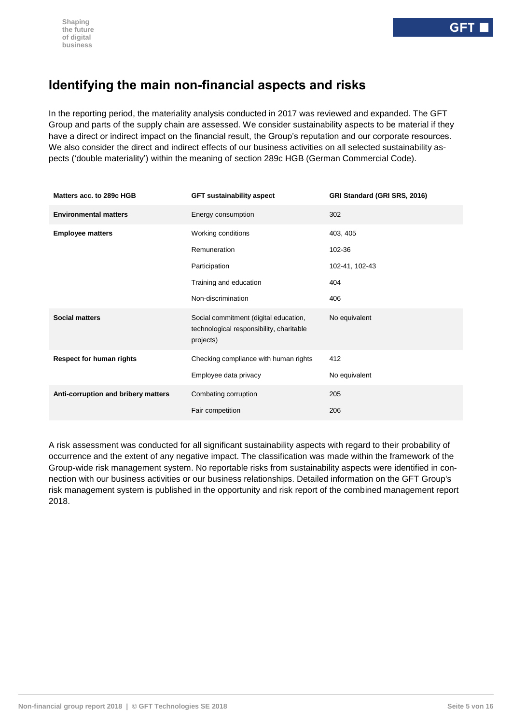### **Identifying the main non-financial aspects and risks**

In the reporting period, the materiality analysis conducted in 2017 was reviewed and expanded. The GFT Group and parts of the supply chain are assessed. We consider sustainability aspects to be material if they have a direct or indirect impact on the financial result, the Group's reputation and our corporate resources. We also consider the direct and indirect effects of our business activities on all selected sustainability aspects ('double materiality') within the meaning of section 289c HGB (German Commercial Code).

| Matters acc. to 289c HGB            | <b>GFT sustainability aspect</b>                                                               | GRI Standard (GRI SRS, 2016) |  |
|-------------------------------------|------------------------------------------------------------------------------------------------|------------------------------|--|
| <b>Environmental matters</b>        | Energy consumption                                                                             | 302                          |  |
| <b>Employee matters</b>             | Working conditions                                                                             | 403, 405                     |  |
|                                     | Remuneration                                                                                   | 102-36                       |  |
|                                     | Participation                                                                                  | 102-41, 102-43               |  |
|                                     | Training and education                                                                         | 404                          |  |
|                                     | Non-discrimination                                                                             | 406                          |  |
| <b>Social matters</b>               | Social commitment (digital education,<br>technological responsibility, charitable<br>projects) | No equivalent                |  |
| <b>Respect for human rights</b>     | Checking compliance with human rights                                                          | 412                          |  |
|                                     | Employee data privacy                                                                          | No equivalent                |  |
| Anti-corruption and bribery matters | Combating corruption                                                                           | 205                          |  |
|                                     | Fair competition                                                                               | 206                          |  |

A risk assessment was conducted for all significant sustainability aspects with regard to their probability of occurrence and the extent of any negative impact. The classification was made within the framework of the Group-wide risk management system. No reportable risks from sustainability aspects were identified in connection with our business activities or our business relationships. Detailed information on the GFT Group's risk management system is published in the opportunity and risk report of the combined management report 2018.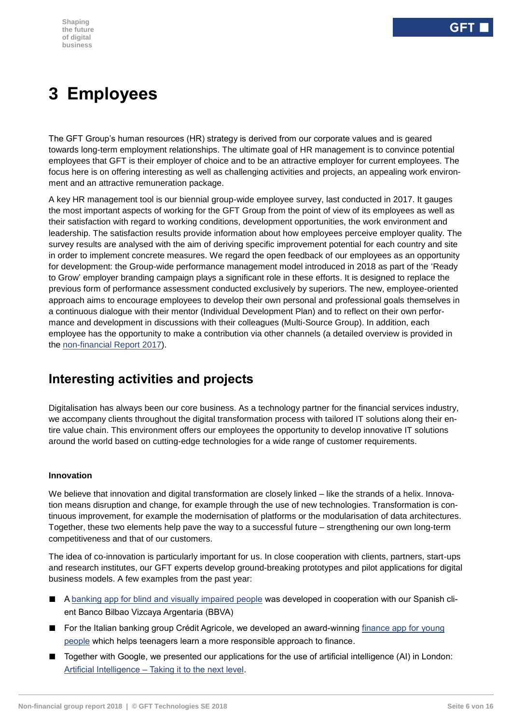# <span id="page-5-0"></span>**3 Employees**

The GFT Group's human resources (HR) strategy is derived from our corporate values and is geared towards long-term employment relationships. The ultimate goal of HR management is to convince potential employees that GFT is their employer of choice and to be an attractive employer for current employees. The focus here is on offering interesting as well as challenging activities and projects, an appealing work environment and an attractive remuneration package.

A key HR management tool is our biennial group-wide employee survey, last conducted in 2017. It gauges the most important aspects of working for the GFT Group from the point of view of its employees as well as their satisfaction with regard to working conditions, development opportunities, the work environment and leadership. The satisfaction results provide information about how employees perceive employer quality. The survey results are analysed with the aim of deriving specific improvement potential for each country and site in order to implement concrete measures. We regard the open feedback of our employees as an opportunity for development: the Group-wide performance management model introduced in 2018 as part of the 'Ready to Grow' employer branding campaign plays a significant role in these efforts. It is designed to replace the previous form of performance assessment conducted exclusively by superiors. The new, employee-oriented approach aims to encourage employees to develop their own personal and professional goals themselves in a continuous dialogue with their mentor (Individual Development Plan) and to reflect on their own performance and development in discussions with their colleagues (Multi-Source Group). In addition, each employee has the opportunity to make a contribution via other channels (a detailed overview is provided in the [non-financial Report 2017\)](https://www.gft.com/int/en/index/company/investor-relations/financial-news-and-reports/sustainability/).

### **Interesting activities and projects**

Digitalisation has always been our core business. As a technology partner for the financial services industry, we accompany clients throughout the digital transformation process with tailored IT solutions along their entire value chain. This environment offers our employees the opportunity to develop innovative IT solutions around the world based on cutting-edge technologies for a wide range of customer requirements.

#### **Innovation**

We believe that innovation and digital transformation are closely linked – like the strands of a helix. Innovation means disruption and change, for example through the use of new technologies. Transformation is continuous improvement, for example the modernisation of platforms or the modularisation of data architectures. Together, these two elements help pave the way to a successful future – strengthening our own long-term competitiveness and that of our customers.

The idea of co-innovation is particularly important for us. In close cooperation with clients, partners, start-ups and research institutes, our GFT experts develop ground-breaking prototypes and pilot applications for digital business models. A few examples from the past year:

- A banking app for blind [and visually impaired people](https://www.gft.com/de/de/index/unternehmen/newsroom/news/2018/innovative-bbva-app-fuer-blinde-menschen/) was developed in cooperation with our Spanish client Banco Bilbao Vizcaya Argentaria (BBVA)
- For the Italian banking group Crédit Agricole, we developed an award-winning finance app for young [people](https://www.gft.com/de/de/index/unternehmen/newsroom/news/2018/mit-bankme-lernen-jugendliche-den-umgang-mit-geld/) which helps teenagers learn a more responsible approach to finance.
- Together with Google, we presented our applications for the use of artificial intelligence (AI) in London: Artificial Intelligence – [Taking it to the next level.](https://cloudplatformonline.com/2018-artificial-intelligence-london.html)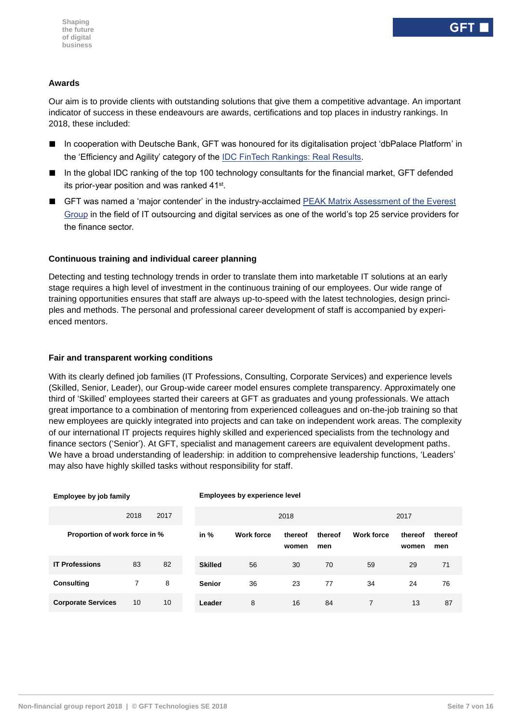#### **Awards**

Our aim is to provide clients with outstanding solutions that give them a competitive advantage. An important indicator of success in these endeavours are awards, certifications and top places in industry rankings. In 2018, these included:

- In cooperation with Deutsche Bank, GFT was honoured for its digitalisation project 'dbPalace Platform' in the 'Efficiency and Agility' category of the [IDC FinTech Rankings: Real Results.](https://www.gft.com/int/en/index/company/newsroom/press-releases/2018/gft-named-as-winner-in-2018-idc-fintech-rankings/)
- In the global IDC ranking of the top 100 technology consultants for the financial market, GFT defended its prior-year position and was ranked 41<sup>st</sup>.
- GFT was named a 'major contender' in the industry-acclaimed PEAK Matrix Assessment of the Everest [Group](https://www.gft.com/int/en/index/company/newsroom/news/2018/gft-recognised-as-major-contender-in-everest-groups/) in the field of IT outsourcing and digital services as one of the world's top 25 service providers for the finance sector.

#### **Continuous training and individual career planning**

Detecting and testing technology trends in order to translate them into marketable IT solutions at an early stage requires a high level of investment in the continuous training of our employees. Our wide range of training opportunities ensures that staff are always up-to-speed with the latest technologies, design principles and methods. The personal and professional career development of staff is accompanied by experienced mentors.

#### **Fair and transparent working conditions**

With its clearly defined job families (IT Professions, Consulting, Corporate Services) and experience levels (Skilled, Senior, Leader), our Group-wide career model ensures complete transparency. Approximately one third of 'Skilled' employees started their careers at GFT as graduates and young professionals. We attach great importance to a combination of mentoring from experienced colleagues and on-the-job training so that new employees are quickly integrated into projects and can take on independent work areas. The complexity of our international IT projects requires highly skilled and experienced specialists from the technology and finance sectors ('Senior'). At GFT, specialist and management careers are equivalent development paths. We have a broad understanding of leadership: in addition to comprehensive leadership functions, 'Leaders' may also have highly skilled tasks without responsibility for staff.

| Employee by job family        |                |      |                | <b>Employees by experience level</b> |                  |                |                   |                  |                |
|-------------------------------|----------------|------|----------------|--------------------------------------|------------------|----------------|-------------------|------------------|----------------|
|                               | 2018           | 2017 |                | 2018                                 |                  |                | 2017              |                  |                |
| Proportion of work force in % |                |      | in $%$         | <b>Work force</b>                    | thereof<br>women | thereof<br>men | <b>Work force</b> | thereof<br>women | thereof<br>men |
| <b>IT Professions</b>         | 83             | 82   | <b>Skilled</b> | 56                                   | 30               | 70             | 59                | 29               | 71             |
| <b>Consulting</b>             | $\overline{7}$ | 8    | <b>Senior</b>  | 36                                   | 23               | 77             | 34                | 24               | 76             |
| <b>Corporate Services</b>     | 10             | 10   | Leader         | 8                                    | 16               | 84             | 7                 | 13               | 87             |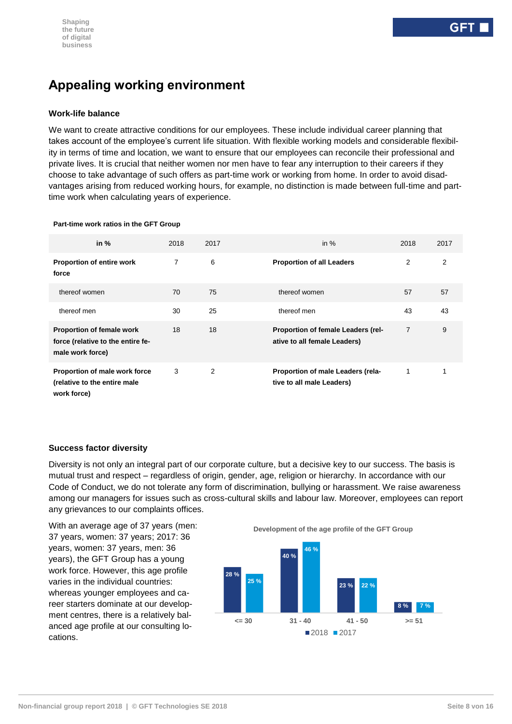### **Appealing working environment**

#### **Work-life balance**

We want to create attractive conditions for our employees. These include individual career planning that takes account of the employee's current life situation. With flexible working models and considerable flexibility in terms of time and location, we want to ensure that our employees can reconcile their professional and private lives. It is crucial that neither women nor men have to fear any interruption to their careers if they choose to take advantage of such offers as part-time work or working from home. In order to avoid disadvantages arising from reduced working hours, for example, no distinction is made between full-time and parttime work when calculating years of experience.

#### **Part-time work ratios in the GFT Group**

| in $%$                                                                                    | 2018 | 2017           | in $%$                                                             | 2018           | 2017 |
|-------------------------------------------------------------------------------------------|------|----------------|--------------------------------------------------------------------|----------------|------|
| <b>Proportion of entire work</b><br>force                                                 | 7    | 6              | <b>Proportion of all Leaders</b>                                   | 2              | 2    |
| thereof women                                                                             | 70   | 75             | thereof women                                                      | 57             | 57   |
| thereof men                                                                               | 30   | 25             | thereof men                                                        | 43             | 43   |
| <b>Proportion of female work</b><br>force (relative to the entire fe-<br>male work force) | 18   | 18             | Proportion of female Leaders (rel-<br>ative to all female Leaders) | $\overline{7}$ | 9    |
| Proportion of male work force<br>(relative to the entire male<br>work force)              | 3    | $\overline{2}$ | Proportion of male Leaders (rela-<br>tive to all male Leaders)     |                |      |

#### **Success factor diversity**

Diversity is not only an integral part of our corporate culture, but a decisive key to our success. The basis is mutual trust and respect – regardless of origin, gender, age, religion or hierarchy. In accordance with our Code of Conduct, we do not tolerate any form of discrimination, bullying or harassment. We raise awareness among our managers for issues such as cross-cultural skills and labour law. Moreover, employees can report any grievances to our complaints offices.

With an average age of 37 years (men: 37 years, women: 37 years; 2017: 36 years, women: 37 years, men: 36 years), the GFT Group has a young work force. However, this age profile varies in the individual countries: whereas younger employees and career starters dominate at our development centres, there is a relatively balanced age profile at our consulting locations.

**Development of the age profile of the GFT Group**

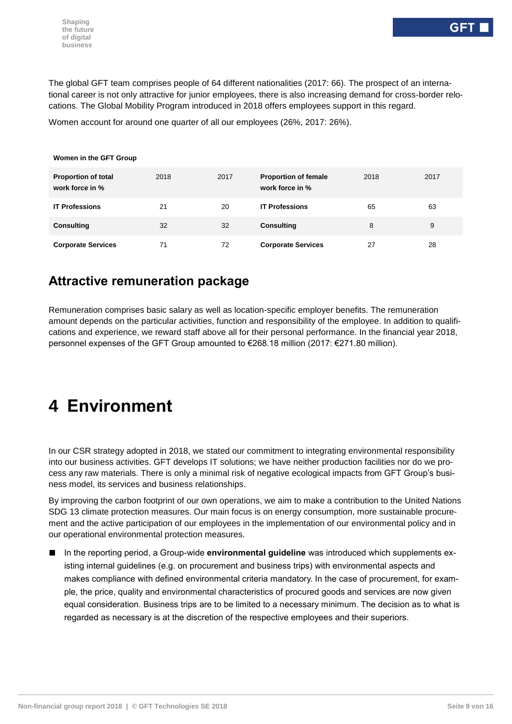**Women in the GFT Group**

The global GFT team comprises people of 64 different nationalities (2017: 66). The prospect of an international career is not only attractive for junior employees, there is also increasing demand for cross-border relocations. The Global Mobility Program introduced in 2018 offers employees support in this regard.

Women account for around one quarter of all our employees (26%, 2017: 26%).

| <b>Proportion of total</b><br>work force in % | 2018 | 2017 | <b>Proportion of female</b><br>work force in % | 2018 | 2017 |
|-----------------------------------------------|------|------|------------------------------------------------|------|------|
| <b>IT Professions</b>                         | 21   | 20   | <b>IT Professions</b>                          | 65   | 63   |
| <b>Consulting</b>                             | 32   | 32   | <b>Consulting</b>                              | 8    | 9    |
| <b>Corporate Services</b>                     | 71   | 72   | <b>Corporate Services</b>                      | 27   | 28   |

### **Attractive remuneration package**

Remuneration comprises basic salary as well as location-specific employer benefits. The remuneration amount depends on the particular activities, function and responsibility of the employee. In addition to qualifications and experience, we reward staff above all for their personal performance. In the financial year 2018, personnel expenses of the GFT Group amounted to €268.18 million (2017: €271.80 million).

# <span id="page-8-0"></span>**4 Environment**

In our CSR strategy adopted in 2018, we stated our commitment to integrating environmental responsibility into our business activities. GFT develops IT solutions; we have neither production facilities nor do we process any raw materials. There is only a minimal risk of negative ecological impacts from GFT Group's business model, its services and business relationships.

By improving the carbon footprint of our own operations, we aim to make a contribution to the United Nations SDG 13 climate protection measures. Our main focus is on energy consumption, more sustainable procurement and the active participation of our employees in the implementation of our environmental policy and in our operational environmental protection measures.

■ In the reporting period, a Group-wide **environmental quideline** was introduced which supplements existing internal guidelines (e.g. on procurement and business trips) with environmental aspects and makes compliance with defined environmental criteria mandatory. In the case of procurement, for example, the price, quality and environmental characteristics of procured goods and services are now given equal consideration. Business trips are to be limited to a necessary minimum. The decision as to what is regarded as necessary is at the discretion of the respective employees and their superiors.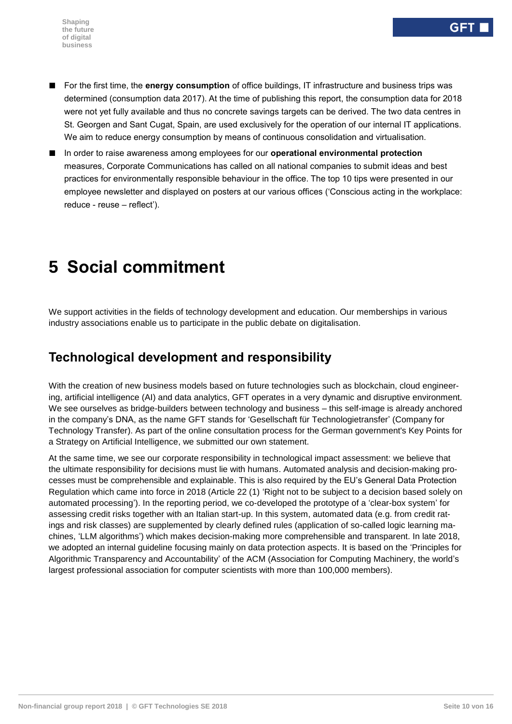- For the first time, the **energy consumption** of office buildings, IT infrastructure and business trips was determined (consumption data 2017). At the time of publishing this report, the consumption data for 2018 were not yet fully available and thus no concrete savings targets can be derived. The two data centres in St. Georgen and Sant Cugat, Spain, are used exclusively for the operation of our internal IT applications. We aim to reduce energy consumption by means of continuous consolidation and virtualisation.
- In order to raise awareness among employees for our **operational environmental protection** measures, Corporate Communications has called on all national companies to submit ideas and best practices for environmentally responsible behaviour in the office. The top 10 tips were presented in our employee newsletter and displayed on posters at our various offices ('Conscious acting in the workplace: reduce - reuse – reflect').

# <span id="page-9-0"></span>**5 Social commitment**

We support activities in the fields of technology development and education. Our memberships in various industry associations enable us to participate in the public debate on digitalisation.

### **Technological development and responsibility**

With the creation of new business models based on future technologies such as blockchain, cloud engineering, artificial intelligence (AI) and data analytics, GFT operates in a very dynamic and disruptive environment. We see ourselves as bridge-builders between technology and business – this self-image is already anchored in the company's DNA, as the name GFT stands for 'Gesellschaft für Technologietransfer' (Company for Technology Transfer). As part of the online consultation process for the German government's Key Points for a Strategy on Artificial Intelligence, we submitted our own statement.

At the same time, we see our corporate responsibility in technological impact assessment: we believe that the ultimate responsibility for decisions must lie with humans. Automated analysis and decision-making processes must be comprehensible and explainable. This is also required by the EU's General Data Protection Regulation which came into force in 2018 (Article 22 (1) 'Right not to be subject to a decision based solely on automated processing'). In the reporting period, we co-developed the prototype of a 'clear-box system' for assessing credit risks together with an Italian start-up. In this system, automated data (e.g. from credit ratings and risk classes) are supplemented by clearly defined rules (application of so-called logic learning machines, 'LLM algorithms') which makes decision-making more comprehensible and transparent. In late 2018, we adopted an internal guideline focusing mainly on data protection aspects. It is based on the 'Principles for Algorithmic Transparency and Accountability' of the ACM (Association for Computing Machinery, the world's largest professional association for computer scientists with more than 100,000 members).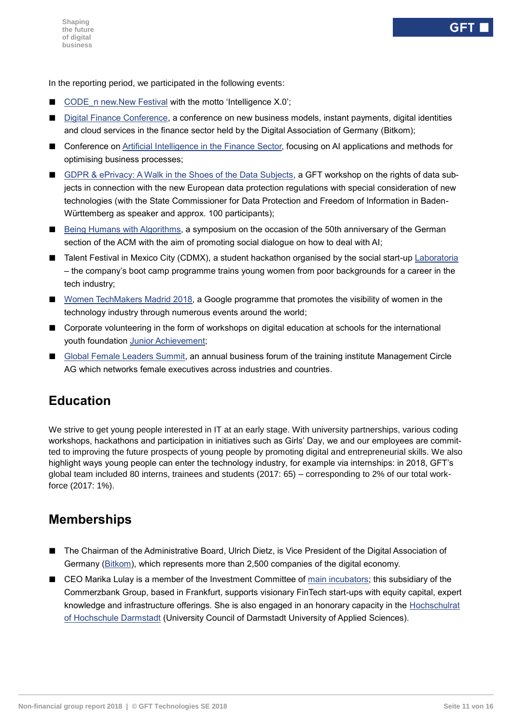In the reporting period, we participated in the following events:

- CODE n new.New Festival with the motto 'Intelligence X.0';
- [Digital Finance Conference,](http://www.banking-conference.de/) a conference on new business models, instant payments, digital identities and cloud services in the finance sector held by the Digital Association of Germany (Bitkom);
- Conference on [Artificial Intelligence in the Finance Sector,](https://www.managementcircle.de/uploads/tx_mcep_flyer/ki-banken.pdf) focusing on AI applications and methods for optimising business processes;
- GDPR [& ePrivacy: A Walk in the Shoes of the Data Subjects,](https://www.gft.com/de/de/index/unternehmen/events/2018/ds-gvo-eprivacy/) a GFT workshop on the rights of data subjects in connection with the new European data protection regulations with special consideration of new technologies (with the State Commissioner for Data Protection and Freedom of Information in Baden-Württemberg as speaker and approx. 100 participants);
- [Being Humans with Algorithms,](https://www.menschsein-mit-algorithmen.org/wp/) a symposium on the occasion of the 50th anniversary of the German section of the ACM with the aim of promoting social dialogue on how to deal with AI;
- Talent Festival in Mexico City (CDMX), a student hackathon organised by the social start-up [Laboratoria](https://www.laboratoria.la/en/impact) – the company's boot camp programme trains young women from poor backgrounds for a career in the tech industry;
- [Women TechMakers Madrid 2018,](http://wtm.gdgmadrid.es/) a Google programme that promotes the visibility of women in the technology industry through numerous events around the world;
- Corporate volunteering in the form of workshops on digital education at schools for the international youth foundation [Junior Achievement;](http://fundacionjaes.org/)
- [Global Female Leaders Summit,](https://www.globalfemaleleaders.com/) an annual business forum of the training institute Management Circle AG which networks female executives across industries and countries.

### **Education**

We strive to get young people interested in IT at an early stage. With university partnerships, various coding workshops, hackathons and participation in initiatives such as Girls' Day, we and our employees are committed to improving the future prospects of young people by promoting digital and entrepreneurial skills. We also highlight ways young people can enter the technology industry, for example via internships: in 2018, GFT's global team included 80 interns, trainees and students (2017: 65) – corresponding to 2% of our total workforce (2017: 1%).

### **Memberships**

- The Chairman of the Administrative Board, Ulrich Dietz, is Vice President of the Digital Association of Germany [\(Bitkom\)](https://www.bitkom.org/EN), which represents more than 2,500 companies of the digital economy.
- CEO Marika Lulay is a member of the Investment Committee of [main incubators;](https://main-incubator.com/en/home) this subsidiary of the Commerzbank Group, based in Frankfurt, supports visionary FinTech start-ups with equity capital, expert knowledge and infrastructure offerings. She is also engaged in an honorary capacity in the [Hochschulrat](https://www.h-da.de/hochschule/organisation/hochschulrat/)  [of Hochschule Darmstadt](https://www.h-da.de/hochschule/organisation/hochschulrat/) (University Council of Darmstadt University of Applied Sciences).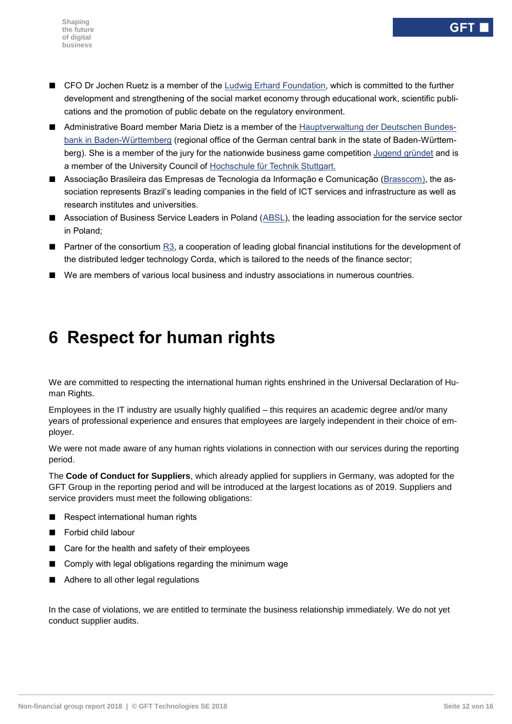- CFO Dr Jochen Ruetz is a member of the Ludwig Erhard [Foundation,](https://www.ludwig-erhard.de/) which is committed to the further development and strengthening of the social market economy through educational work, scientific publications and the promotion of public debate on the regulatory environment.
- Administrative Board member Maria Dietz is a member of the [Hauptverwaltung der Deutschen Bundes](https://www.bundesbank.de/de/bundesbank/hauptverwaltungen-filialen/bw/beirat)[bank in Baden-Württemberg](https://www.bundesbank.de/de/bundesbank/hauptverwaltungen-filialen/bw/beirat) (regional office of the German central bank in the state of Baden-Württem-berg). She is a member of the jury for the nationwide business game competition [Jugend gründet](https://www.jugend-gruendet.de/wettbewerb/jury/) and is a member of the University Council of [Hochschule für Technik Stuttgart.](https://www.hft-stuttgart.de/Hochschule/Organisation/Gremien/Hochschulrat/index.html/de)
- Associação Brasileira das Empresas de Tecnologia da Informação e Comunicação [\(Brasscom\)](https://brasscom.org.br/), the association represents Brazil's leading companies in the field of ICT services and infrastructure as well as research institutes and universities.
- Association of Business Service Leaders in Poland [\(ABSL\)](http://absl.pl/), the leading association for the service sector in Poland;
- Partner of the consortium [R3,](https://www.r3.com/ecosystem/) a cooperation of leading global financial institutions for the development of the distributed ledger technology Corda, which is tailored to the needs of the finance sector;
- <span id="page-11-0"></span>■ We are members of various local business and industry associations in numerous countries.

# **6 Respect for human rights**

We are committed to respecting the international human rights enshrined in the Universal Declaration of Human Rights.

Employees in the IT industry are usually highly qualified – this requires an academic degree and/or many years of professional experience and ensures that employees are largely independent in their choice of employer.

We were not made aware of any human rights violations in connection with our services during the reporting period.

The **Code of Conduct for Suppliers**, which already applied for suppliers in Germany, was adopted for the GFT Group in the reporting period and will be introduced at the largest locations as of 2019. Suppliers and service providers must meet the following obligations:

- Respect international human rights
- Forbid child labour
- Care for the health and safety of their employees
- Comply with legal obligations regarding the minimum wage
- Adhere to all other legal regulations

In the case of violations, we are entitled to terminate the business relationship immediately. We do not yet conduct supplier audits.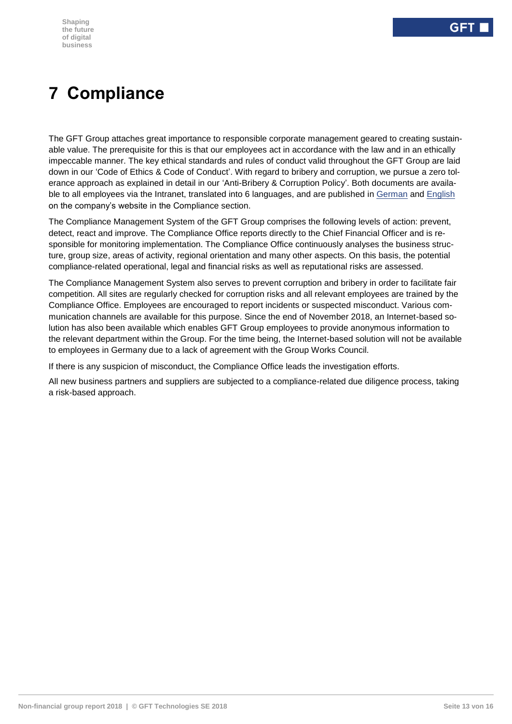# <span id="page-12-0"></span>**7 Compliance**

The GFT Group attaches great importance to responsible corporate management geared to creating sustainable value. The prerequisite for this is that our employees act in accordance with the law and in an ethically impeccable manner. The key ethical standards and rules of conduct valid throughout the GFT Group are laid down in our 'Code of Ethics & Code of Conduct'. With regard to bribery and corruption, we pursue a zero tolerance approach as explained in detail in our 'Anti-Bribery & Corruption Policy'. Both documents are available to all employees via the Intranet, translated into 6 languages, and are published in [German](https://www.gft.com/de/de/index/unternehmen/corporate-governance/compliance/#lang-switch) and [English](https://www.gft.com/int/en/index/company/corporate-governance/compliance/) on the company's website in the Compliance section.

The Compliance Management System of the GFT Group comprises the following levels of action: prevent, detect, react and improve. The Compliance Office reports directly to the Chief Financial Officer and is responsible for monitoring implementation. The Compliance Office continuously analyses the business structure, group size, areas of activity, regional orientation and many other aspects. On this basis, the potential compliance-related operational, legal and financial risks as well as reputational risks are assessed.

The Compliance Management System also serves to prevent corruption and bribery in order to facilitate fair competition. All sites are regularly checked for corruption risks and all relevant employees are trained by the Compliance Office. Employees are encouraged to report incidents or suspected misconduct. Various communication channels are available for this purpose. Since the end of November 2018, an Internet-based solution has also been available which enables GFT Group employees to provide anonymous information to the relevant department within the Group. For the time being, the Internet-based solution will not be available to employees in Germany due to a lack of agreement with the Group Works Council.

If there is any suspicion of misconduct, the Compliance Office leads the investigation efforts.

All new business partners and suppliers are subjected to a compliance-related due diligence process, taking a risk-based approach.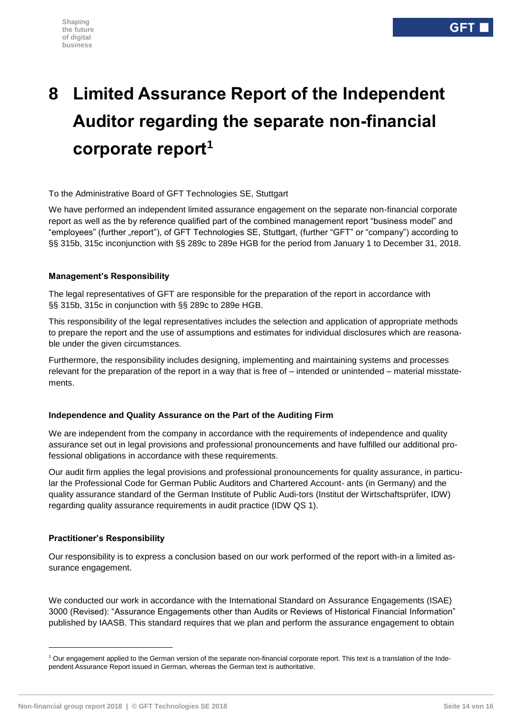# <span id="page-13-0"></span>**8 Limited Assurance Report of the Independent Auditor regarding the separate non-financial corporate report<sup>1</sup>**

#### To the Administrative Board of GFT Technologies SE, Stuttgart

We have performed an independent limited assurance engagement on the separate non-financial corporate report as well as the by reference qualified part of the combined management report "business model" and "employees" (further "report"), of GFT Technologies SE, Stuttgart, (further "GFT" or "company") according to §§ 315b, 315c inconjunction with §§ 289c to 289e HGB for the period from January 1 to December 31, 2018.

#### **Management's Responsibility**

The legal representatives of GFT are responsible for the preparation of the report in accordance with §§ 315b, 315c in conjunction with §§ 289c to 289e HGB.

This responsibility of the legal representatives includes the selection and application of appropriate methods to prepare the report and the use of assumptions and estimates for individual disclosures which are reasonable under the given circumstances.

Furthermore, the responsibility includes designing, implementing and maintaining systems and processes relevant for the preparation of the report in a way that is free of – intended or unintended – material misstatements.

#### **Independence and Quality Assurance on the Part of the Auditing Firm**

We are independent from the company in accordance with the requirements of independence and quality assurance set out in legal provisions and professional pronouncements and have fulfilled our additional professional obligations in accordance with these requirements.

Our audit firm applies the legal provisions and professional pronouncements for quality assurance, in particular the Professional Code for German Public Auditors and Chartered Account- ants (in Germany) and the quality assurance standard of the German Institute of Public Audi-tors (Institut der Wirtschaftsprüfer, IDW) regarding quality assurance requirements in audit practice (IDW QS 1).

#### **Practitioner's Responsibility**

1

Our responsibility is to express a conclusion based on our work performed of the report with-in a limited assurance engagement.

We conducted our work in accordance with the International Standard on Assurance Engagements (ISAE) 3000 (Revised): "Assurance Engagements other than Audits or Reviews of Historical Financial Information" published by IAASB. This standard requires that we plan and perform the assurance engagement to obtain

<sup>1</sup> Our engagement applied to the German version of the separate non-financial corporate report. This text is a translation of the Independent Assurance Report issued in German, whereas the German text is authoritative.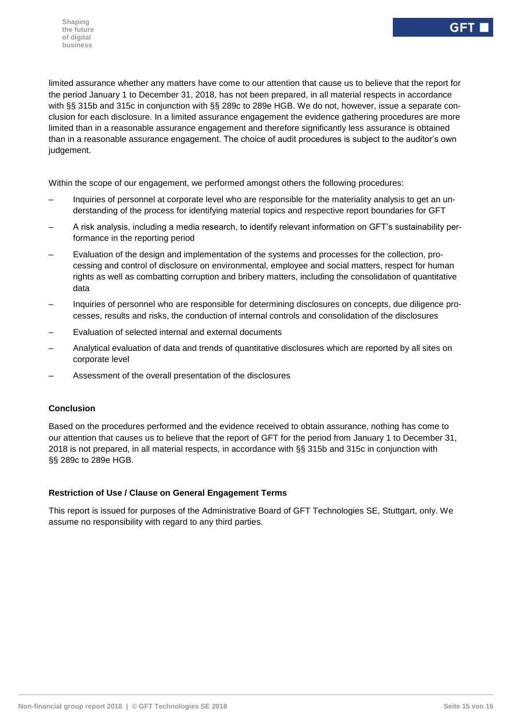limited assurance whether any matters have come to our attention that cause us to believe that the report for the period January 1 to December 31, 2018, has not been prepared, in all material respects in accordance with §§ 315b and 315c in conjunction with §§ 289c to 289e HGB. We do not, however, issue a separate conclusion for each disclosure. In a limited assurance engagement the evidence gathering procedures are more limited than in a reasonable assurance engagement and therefore significantly less assurance is obtained than in a reasonable assurance engagement. The choice of audit procedures is subject to the auditor's own judgement.

Within the scope of our engagement, we performed amongst others the following procedures:

- Inquiries of personnel at corporate level who are responsible for the materiality analysis to get an understanding of the process for identifying material topics and respective report boundaries for GFT
- A risk analysis, including a media research, to identify relevant information on GFT's sustainability performance in the reporting period
- Evaluation of the design and implementation of the systems and processes for the collection, processing and control of disclosure on environmental, employee and social matters, respect for human rights as well as combatting corruption and bribery matters, including the consolidation of quantitative data
- Inquiries of personnel who are responsible for determining disclosures on concepts, due diligence processes, results and risks, the conduction of internal controls and consolidation of the disclosures
- Evaluation of selected internal and external documents
- Analytical evaluation of data and trends of quantitative disclosures which are reported by all sites on corporate level
- Assessment of the overall presentation of the disclosures

#### **Conclusion**

Based on the procedures performed and the evidence received to obtain assurance, nothing has come to our attention that causes us to believe that the report of GFT for the period from January 1 to December 31, 2018 is not prepared, in all material respects, in accordance with §§ 315b and 315c in conjunction with §§ 289c to 289e HGB.

#### **Restriction of Use / Clause on General Engagement Terms**

This report is issued for purposes of the Administrative Board of GFT Technologies SE, Stuttgart, only. We assume no responsibility with regard to any third parties.